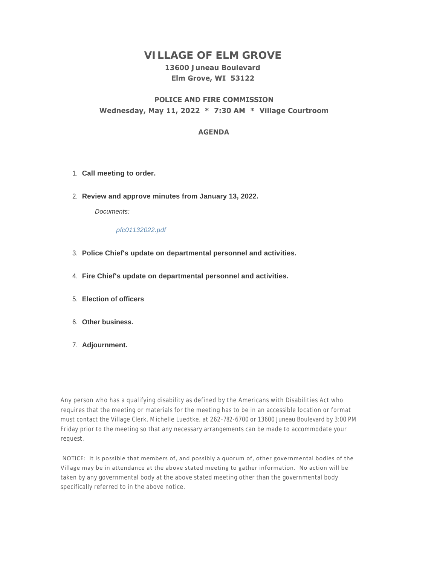# **VILLAGE OF ELM GROVE**

# **13600 Juneau Boulevard Elm Grove, WI 53122**

## **POLICE AND FIRE COMMISSION Wednesday, May 11, 2022 \* 7:30 AM \* Village Courtroom**

#### **AGENDA**

- **Call meeting to order.** 1.
- **Review and approve minutes from January 13, 2022.** 2.

*Documents:*

#### *pfc01132022.pdf*

- **Police Chief's update on departmental personnel and activities.** 3.
- **Fire Chief's update on departmental personnel and activities.** 4.
- **Election of officers** 5.
- **Other business.** 6.
- **Adjournment.** 7.

Any person who has a qualifying disability as defined by the Americans with Disabilities Act who requires that the meeting or materials for the meeting has to be in an accessible location or format must contact the Village Clerk, Michelle Luedtke, at 262-782-6700 or 13600 Juneau Boulevard by 3:00 PM Friday prior to the meeting so that any necessary arrangements can be made to accommodate your request.

 NOTICE: It is possible that members of, and possibly a quorum of, other governmental bodies of the Village may be in attendance at the above stated meeting to gather information. No action will be taken by any governmental body at the above stated meeting other than the governmental body specifically referred to in the above notice.